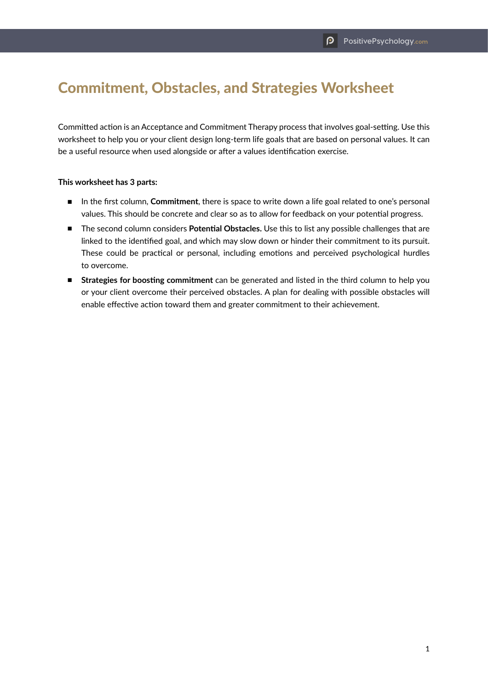## Commitment, Obstacles, and Strategies Worksheet

Committed action is an Acceptance and Commitment Therapy process that involves goal-setting. Use this worksheet to help you or your client design long-term life goals that are based on personal values. It can be a useful resource when used alongside or after a values identification exercise.

## **This worksheet has 3 parts:**

- In the first column, **Commitment**, there is space to write down a life goal related to one's personal values. This should be concrete and clear so as to allow for feedback on your potential progress.
- The second column considers Potential Obstacles. Use this to list any possible challenges that are linked to the identified goal, and which may slow down or hinder their commitment to its pursuit. These could be practical or personal, including emotions and perceived psychological hurdles to overcome.
- **Strategies for boosting commitment** can be generated and listed in the third column to help you or your client overcome their perceived obstacles. A plan for dealing with possible obstacles will enable effective action toward them and greater commitment to their achievement.